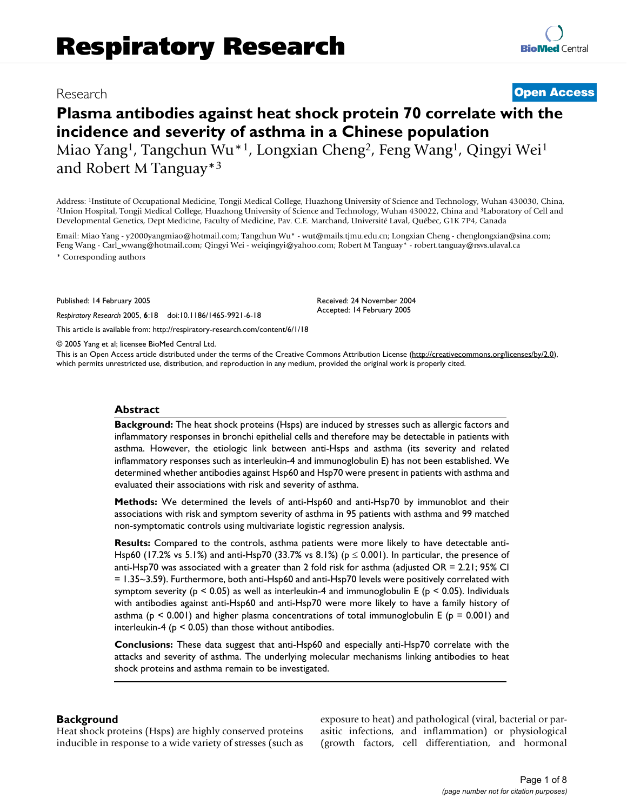# Research **[Open Access](http://www.biomedcentral.com/info/about/charter/)**

# **Plasma antibodies against heat shock protein 70 correlate with the incidence and severity of asthma in a Chinese population** Miao Yang<sup>1</sup>, Tangchun Wu<sup>\*1</sup>, Longxian Cheng<sup>2</sup>, Feng Wang<sup>1</sup>, Qingyi Wei<sup>1</sup> and Robert M Tanguay\*3

Address: 1Institute of Occupational Medicine, Tongji Medical College, Huazhong University of Science and Technology, Wuhan 430030, China, 2Union Hospital, Tongji Medical College, Huazhong University of Science and Technology, Wuhan 430022, China and 3Laboratory of Cell and Developmental Genetics, Dept Medicine, Faculty of Medicine, Pav. C.E. Marchand, Université Laval, Québec, G1K 7P4, Canada

Email: Miao Yang - y2000yangmiao@hotmail.com; Tangchun Wu\* - wut@mails.tjmu.edu.cn; Longxian Cheng - chenglongxian@sina.com; Feng Wang - Carl\_wwang@hotmail.com; Qingyi Wei - weiqingyi@yahoo.com; Robert M Tanguay\* - robert.tanguay@rsvs.ulaval.ca \* Corresponding authors

Published: 14 February 2005

*Respiratory Research* 2005, **6**:18 doi:10.1186/1465-9921-6-18

[This article is available from: http://respiratory-research.com/content/6/1/18](http://respiratory-research.com/content/6/1/18)

© 2005 Yang et al; licensee BioMed Central Ltd.

This is an Open Access article distributed under the terms of the Creative Commons Attribution License [\(http://creativecommons.org/licenses/by/2.0\)](http://creativecommons.org/licenses/by/2.0), which permits unrestricted use, distribution, and reproduction in any medium, provided the original work is properly cited.

Received: 24 November 2004 Accepted: 14 February 2005

#### **Abstract**

**Background:** The heat shock proteins (Hsps) are induced by stresses such as allergic factors and inflammatory responses in bronchi epithelial cells and therefore may be detectable in patients with asthma. However, the etiologic link between anti-Hsps and asthma (its severity and related inflammatory responses such as interleukin-4 and immunoglobulin E) has not been established. We determined whether antibodies against Hsp60 and Hsp70 were present in patients with asthma and evaluated their associations with risk and severity of asthma.

**Methods:** We determined the levels of anti-Hsp60 and anti-Hsp70 by immunoblot and their associations with risk and symptom severity of asthma in 95 patients with asthma and 99 matched non-symptomatic controls using multivariate logistic regression analysis.

**Results:** Compared to the controls, asthma patients were more likely to have detectable anti-Hsp60 (17.2% vs 5.1%) and anti-Hsp70 (33.7% vs 8.1%) ( $p \le 0.001$ ). In particular, the presence of anti-Hsp70 was associated with a greater than 2 fold risk for asthma (adjusted OR = 2.21; 95% CI = 1.35~3.59). Furthermore, both anti-Hsp60 and anti-Hsp70 levels were positively correlated with symptom severity ( $p < 0.05$ ) as well as interleukin-4 and immunoglobulin E ( $p < 0.05$ ). Individuals with antibodies against anti-Hsp60 and anti-Hsp70 were more likely to have a family history of asthma ( $p \le 0.001$ ) and higher plasma concentrations of total immunoglobulin E ( $p = 0.001$ ) and interleukin-4 ( $p < 0.05$ ) than those without antibodies.

**Conclusions:** These data suggest that anti-Hsp60 and especially anti-Hsp70 correlate with the attacks and severity of asthma. The underlying molecular mechanisms linking antibodies to heat shock proteins and asthma remain to be investigated.

### **Background**

Heat shock proteins (Hsps) are highly conserved proteins inducible in response to a wide variety of stresses (such as exposure to heat) and pathological (viral, bacterial or parasitic infections, and inflammation) or physiological (growth factors, cell differentiation, and hormonal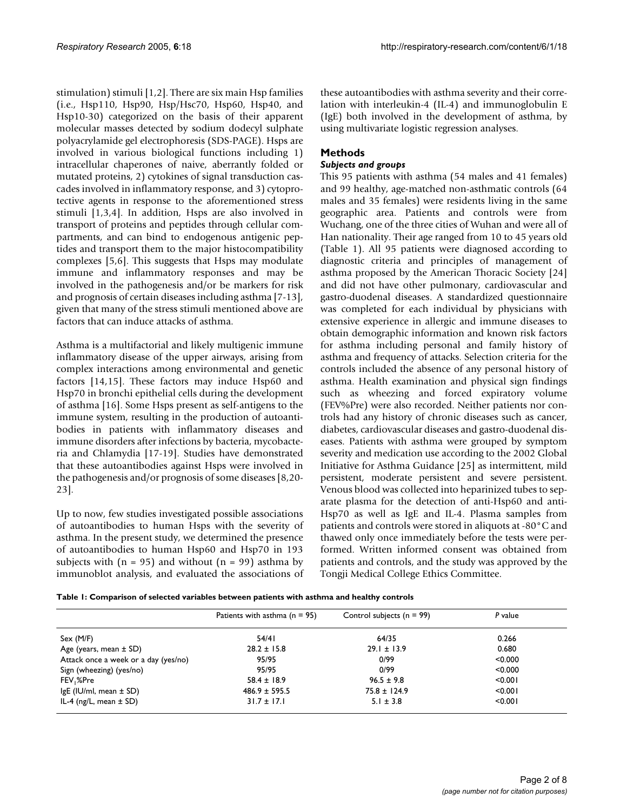stimulation) stimuli [1,2]. There are six main Hsp families (i.e., Hsp110, Hsp90, Hsp/Hsc70, Hsp60, Hsp40, and Hsp10-30) categorized on the basis of their apparent molecular masses detected by sodium dodecyl sulphate polyacrylamide gel electrophoresis (SDS-PAGE). Hsps are involved in various biological functions including 1) intracellular chaperones of naive, aberrantly folded or mutated proteins, 2) cytokines of signal transduction cascades involved in inflammatory response, and 3) cytoprotective agents in response to the aforementioned stress stimuli [1,3,4]. In addition, Hsps are also involved in transport of proteins and peptides through cellular compartments, and can bind to endogenous antigenic peptides and transport them to the major histocompatibility complexes [5,6]. This suggests that Hsps may modulate immune and inflammatory responses and may be involved in the pathogenesis and/or be markers for risk and prognosis of certain diseases including asthma [7-13], given that many of the stress stimuli mentioned above are factors that can induce attacks of asthma.

Asthma is a multifactorial and likely multigenic immune inflammatory disease of the upper airways, arising from complex interactions among environmental and genetic factors [14,15]. These factors may induce Hsp60 and Hsp70 in bronchi epithelial cells during the development of asthma [16]. Some Hsps present as self-antigens to the immune system, resulting in the production of autoantibodies in patients with inflammatory diseases and immune disorders after infections by bacteria, mycobacteria and Chlamydia [17-19]. Studies have demonstrated that these autoantibodies against Hsps were involved in the pathogenesis and/or prognosis of some diseases [8,20- 23].

Up to now, few studies investigated possible associations of autoantibodies to human Hsps with the severity of asthma. In the present study, we determined the presence of autoantibodies to human Hsp60 and Hsp70 in 193 subjects with  $(n = 95)$  and without  $(n = 99)$  asthma by immunoblot analysis, and evaluated the associations of these autoantibodies with asthma severity and their correlation with interleukin-4 (IL-4) and immunoglobulin E (IgE) both involved in the development of asthma, by using multivariate logistic regression analyses.

# **Methods**

# *Subjects and groups*

This 95 patients with asthma (54 males and 41 females) and 99 healthy, age-matched non-asthmatic controls (64 males and 35 females) were residents living in the same geographic area. Patients and controls were from Wuchang, one of the three cities of Wuhan and were all of Han nationality. Their age ranged from 10 to 45 years old (Table 1). All 95 patients were diagnosed according to diagnostic criteria and principles of management of asthma proposed by the American Thoracic Society [24] and did not have other pulmonary, cardiovascular and gastro-duodenal diseases. A standardized questionnaire was completed for each individual by physicians with extensive experience in allergic and immune diseases to obtain demographic information and known risk factors for asthma including personal and family history of asthma and frequency of attacks. Selection criteria for the controls included the absence of any personal history of asthma. Health examination and physical sign findings such as wheezing and forced expiratory volume (FEV%Pre) were also recorded. Neither patients nor controls had any history of chronic diseases such as cancer, diabetes, cardiovascular diseases and gastro-duodenal diseases. Patients with asthma were grouped by symptom severity and medication use according to the 2002 Global Initiative for Asthma Guidance [25] as intermittent, mild persistent, moderate persistent and severe persistent. Venous blood was collected into heparinized tubes to separate plasma for the detection of anti-Hsp60 and anti-Hsp70 as well as IgE and IL-4. Plasma samples from patients and controls were stored in aliquots at -80°C and thawed only once immediately before the tests were performed. Written informed consent was obtained from patients and controls, and the study was approved by the Tongji Medical College Ethics Committee.

| Table 1: Comparison of selected variables between patients with asthma and healthy controls |  |
|---------------------------------------------------------------------------------------------|--|
|---------------------------------------------------------------------------------------------|--|

|                                      | Patients with asthma $(n = 95)$ | Control subjects ( $n = 99$ ) | P value |
|--------------------------------------|---------------------------------|-------------------------------|---------|
| Sex (M/F)                            | 54/41                           | 64/35                         | 0.266   |
| Age (years, mean $\pm$ SD)           | $28.2 \pm 15.8$                 | $29.1 \pm 13.9$               | 0.680   |
| Attack once a week or a day (yes/no) | 95/95                           | 0/99                          | < 0.000 |
| Sign (wheezing) (yes/no)             | 95/95                           | 0/99                          | < 0.000 |
| FEV,%Pre                             | $58.4 \pm 18.9$                 | $96.5 \pm 9.8$                | < 0.001 |
| IgE (IU/ml, mean $\pm$ SD)           | $486.9 \pm 595.5$               | $75.8 \pm 124.9$              | < 0.001 |
| IL-4 (ng/L, mean $\pm$ SD)           | $31.7 \pm 17.1$                 | $5.1 \pm 3.8$                 | < 0.001 |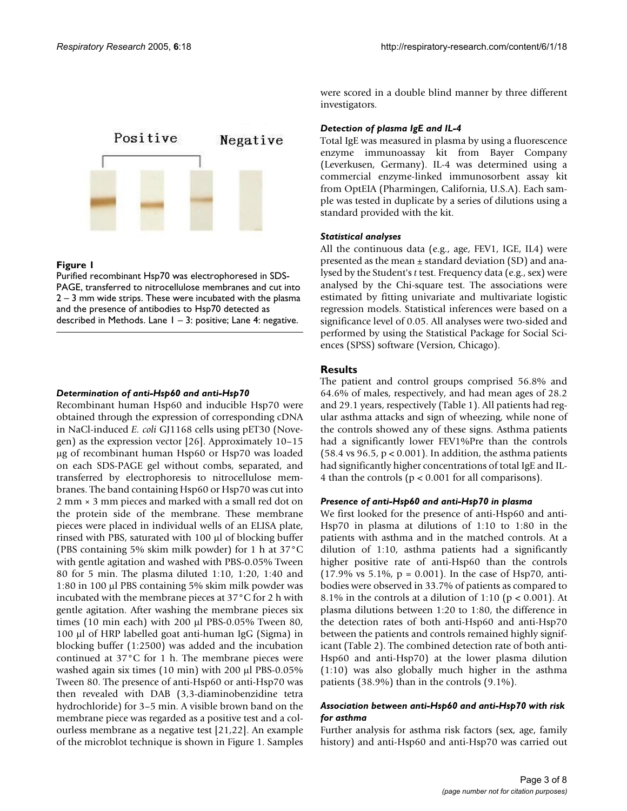

### **Figure I**

Purified recombinant Hsp70 was electrophoresed in SDS-PAGE, transferred to nitrocellulose membranes and cut into 2 – 3 mm wide strips. These were incubated with the plasma and the presence of antibodies to Hsp70 detected as described in Methods. Lane  $1 - 3$ : positive; Lane 4: negative.

#### *Determination of anti-Hsp60 and anti-Hsp70*

Recombinant human Hsp60 and inducible Hsp70 were obtained through the expression of corresponding cDNA in NaCl-induced *E. coli* GJ1168 cells using pET30 (Novegen) as the expression vector [26]. Approximately 10–15 µg of recombinant human Hsp60 or Hsp70 was loaded on each SDS-PAGE gel without combs, separated, and transferred by electrophoresis to nitrocellulose membranes. The band containing Hsp60 or Hsp70 was cut into 2 mm × 3 mm pieces and marked with a small red dot on the protein side of the membrane. These membrane pieces were placed in individual wells of an ELISA plate, rinsed with PBS, saturated with 100 µl of blocking buffer (PBS containing 5% skim milk powder) for 1 h at 37°C with gentle agitation and washed with PBS-0.05% Tween 80 for 5 min. The plasma diluted 1:10, 1:20, 1:40 and 1:80 in 100 µl PBS containing 5% skim milk powder was incubated with the membrane pieces at 37°C for 2 h with gentle agitation. After washing the membrane pieces six times (10 min each) with 200 µl PBS-0.05% Tween 80, 100 µl of HRP labelled goat anti-human IgG (Sigma) in blocking buffer (1:2500) was added and the incubation continued at 37°C for 1 h. The membrane pieces were washed again six times (10 min) with 200 µl PBS-0.05% Tween 80. The presence of anti-Hsp60 or anti-Hsp70 was then revealed with DAB (3,3-diaminobenzidine tetra hydrochloride) for 3–5 min. A visible brown band on the membrane piece was regarded as a positive test and a colourless membrane as a negative test [21,22]. An example of the microblot technique is shown in Figure 1. Samples were scored in a double blind manner by three different investigators.

#### *Detection of plasma IgE and IL-4*

Total IgE was measured in plasma by using a fluorescence enzyme immunoassay kit from Bayer Company (Leverkusen, Germany). IL-4 was determined using a commercial enzyme-linked immunosorbent assay kit from OptEIA (Pharmingen, California, U.S.A). Each sample was tested in duplicate by a series of dilutions using a standard provided with the kit.

### *Statistical analyses*

All the continuous data (e.g., age, FEV1, IGE, IL4) were presented as the mean  $\pm$  standard deviation (SD) and analysed by the Student's *t* test. Frequency data (e.g., sex) were analysed by the Chi-square test. The associations were estimated by fitting univariate and multivariate logistic regression models. Statistical inferences were based on a significance level of 0.05. All analyses were two-sided and performed by using the Statistical Package for Social Sciences (SPSS) software (Version, Chicago).

### **Results**

The patient and control groups comprised 56.8% and 64.6% of males, respectively, and had mean ages of 28.2 and 29.1 years, respectively (Table 1). All patients had regular asthma attacks and sign of wheezing, while none of the controls showed any of these signs. Asthma patients had a significantly lower FEV1%Pre than the controls  $(58.4 \text{ vs } 96.5, p < 0.001)$ . In addition, the asthma patients had significantly higher concentrations of total IgE and IL-4 than the controls (p < 0.001 for all comparisons).

#### *Presence of anti-Hsp60 and anti-Hsp70 in plasma*

We first looked for the presence of anti-Hsp60 and anti-Hsp70 in plasma at dilutions of 1:10 to 1:80 in the patients with asthma and in the matched controls. At a dilution of 1:10, asthma patients had a significantly higher positive rate of anti-Hsp60 than the controls (17.9% vs 5.1%,  $p = 0.001$ ). In the case of Hsp70, antibodies were observed in 33.7% of patients as compared to 8.1% in the controls at a dilution of 1:10 ( $p < 0.001$ ). At plasma dilutions between 1:20 to 1:80, the difference in the detection rates of both anti-Hsp60 and anti-Hsp70 between the patients and controls remained highly significant (Table [2](#page-3-0)). The combined detection rate of both anti-Hsp60 and anti-Hsp70) at the lower plasma dilution (1:10) was also globally much higher in the asthma patients (38.9%) than in the controls (9.1%).

### *Association between anti-Hsp60 and anti-Hsp70 with risk for asthma*

Further analysis for asthma risk factors (sex, age, family history) and anti-Hsp60 and anti-Hsp70 was carried out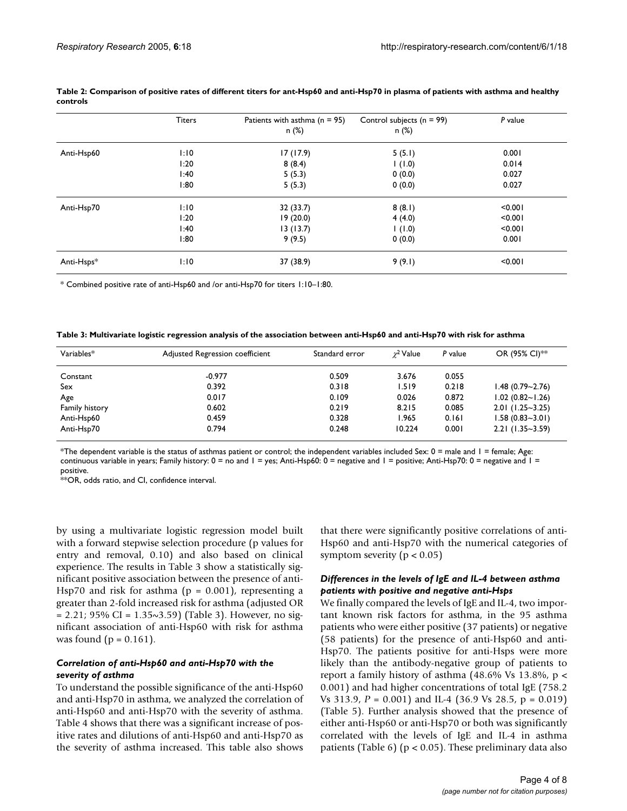|            | <b>Titers</b> | Patients with asthma $(n = 95)$ | Control subjects ( $n = 99$ ) | P value |
|------------|---------------|---------------------------------|-------------------------------|---------|
|            |               | n (%)                           | n (%)                         |         |
| Anti-Hsp60 | 1:10          | 17(17.9)                        | 5(5.1)                        | 0.001   |
|            | 1:20          | 8(8.4)                          | $(0.1)$ I                     | 0.014   |
|            | 1:40          | 5(5.3)                          | 0(0.0)                        | 0.027   |
|            | 1:80          | 5(5.3)                          | 0(0.0)                        | 0.027   |
| Anti-Hsp70 | 1:10          | 32 (33.7)                       | 8(8.1)                        | < 0.001 |
|            | 1:20          | 19(20.0)                        | 4(4.0)                        | < 0.001 |
|            | 1:40          | 13(13.7)                        | $(0.1)$ I                     | < 0.001 |
|            | 1:80          | 9(9.5)                          | 0(0.0)                        | 0.001   |
| Anti-Hsps* | 1:10          | 37 (38.9)                       | 9(9.1)                        | < 0.001 |

<span id="page-3-0"></span>

|          | Table 2: Comparison of positive rates of different titers for ant-Hsp60 and anti-Hsp70 in plasma of patients with asthma and healthy |  |  |
|----------|--------------------------------------------------------------------------------------------------------------------------------------|--|--|
| controls |                                                                                                                                      |  |  |

\* Combined positive rate of anti-Hsp60 and /or anti-Hsp70 for titers 1:10–1:80.

<span id="page-3-1"></span>

| Table 3: Multivariate logistic regression analysis of the association between anti-Hsp60 and anti-Hsp70 with risk for asthma |  |  |  |  |
|------------------------------------------------------------------------------------------------------------------------------|--|--|--|--|
|------------------------------------------------------------------------------------------------------------------------------|--|--|--|--|

| Variables*     | Adjusted Regression coefficient | Standard error | $\chi^2$ Value | P value | OR (95% CI) <sup>**</sup> |
|----------------|---------------------------------|----------------|----------------|---------|---------------------------|
| Constant       | $-0.977$                        | 0.509          | 3.676          | 0.055   |                           |
| Sex            | 0.392                           | 0.318          | 1.519          | 0.218   | $1.48(0.79 - 2.76)$       |
| Age            | 0.017                           | 0.109          | 0.026          | 0.872   | $1.02$ (0.82~1.26)        |
| Family history | 0.602                           | 0.219          | 8.215          | 0.085   | $2.01$ (1.25~3.25)        |
| Anti-Hsp60     | 0.459                           | 0.328          | 1.965          | 0.161   | $1.58(0.83 - 3.01)$       |
| Anti-Hsp70     | 0.794                           | 0.248          | 10.224         | 0.001   | $2.21(1.35-3.59)$         |

\*The dependent variable is the status of asthmas patient or control; the independent variables included Sex: 0 = male and 1 = female; Age: continuous variable in years; Family history: 0 = no and 1 = yes; Anti-Hsp60: 0 = negative and 1 = positive; Anti-Hsp70: 0 = negative and 1 = positive.

\*\*OR, odds ratio, and CI, confidence interval.

by using a multivariate logistic regression model built with a forward stepwise selection procedure (p values for entry and removal, 0.10) and also based on clinical experience. The results in Table [3](#page-3-1) show a statistically significant positive association between the presence of anti-Hsp70 and risk for asthma ( $p = 0.001$ ), representing a greater than 2-fold increased risk for asthma (adjusted OR  $= 2.21$ ; 95% CI = 1.[3](#page-3-1)5~3.59) (Table 3). However, no significant association of anti-Hsp60 with risk for asthma was found ( $p = 0.161$ ).

## *Correlation of anti-Hsp60 and anti-Hsp70 with the severity of asthma*

To understand the possible significance of the anti-Hsp60 and anti-Hsp70 in asthma, we analyzed the correlation of anti-Hsp60 and anti-Hsp70 with the severity of asthma. Table [4](#page-4-0) shows that there was a significant increase of positive rates and dilutions of anti-Hsp60 and anti-Hsp70 as the severity of asthma increased. This table also shows that there were significantly positive correlations of anti-Hsp60 and anti-Hsp70 with the numerical categories of symptom severity ( $p < 0.05$ )

### *Differences in the levels of IgE and IL-4 between asthma patients with positive and negative anti-Hsps*

We finally compared the levels of IgE and IL-4, two important known risk factors for asthma, in the 95 asthma patients who were either positive (37 patients) or negative (58 patients) for the presence of anti-Hsp60 and anti-Hsp70. The patients positive for anti-Hsps were more likely than the antibody-negative group of patients to report a family history of asthma  $(48.6\% \text{ Vs } 13.8\%, \text{p}$ 0.001) and had higher concentrations of total IgE (758.2 Vs 313.9, *P* = 0.001) and IL-4 (36.9 Vs 28.5, p = 0.019) (Table [5](#page-4-1)). Further analysis showed that the presence of either anti-Hsp60 or anti-Hsp70 or both was significantly correlated with the levels of IgE and IL-4 in asthma patients (Table [6\)](#page-4-2) ( $p < 0.05$ ). These preliminary data also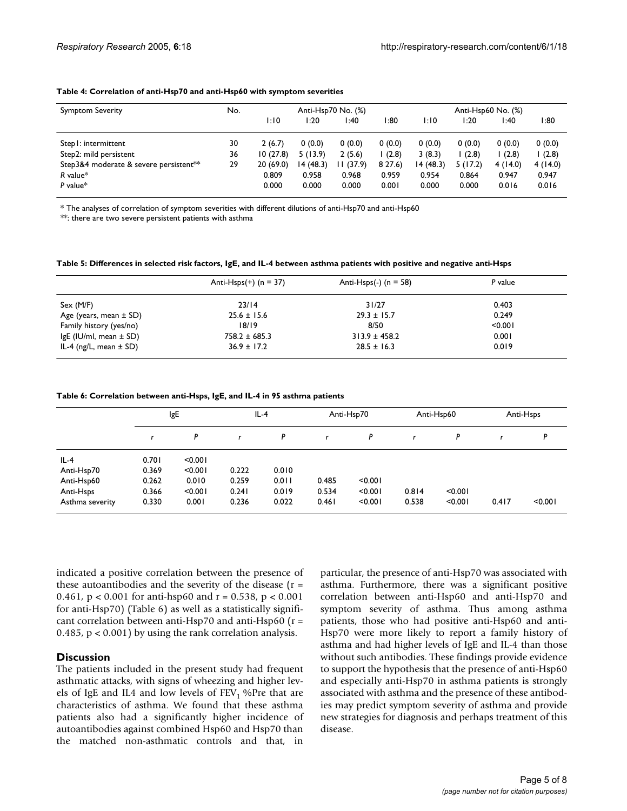#### <span id="page-4-0"></span>**Table 4: Correlation of anti-Hsp70 and anti-Hsp60 with symptom severities**

| <b>Symptom Severity</b>                | No. | Anti-Hsp70 No. (%) |          |           | Anti-Hsp60 No. (%) |           |         |         |         |
|----------------------------------------|-----|--------------------|----------|-----------|--------------------|-----------|---------|---------|---------|
|                                        |     | 1:10               | l:20     | l:40      | 80: ا              | 1:10      | l:20    | 40: ا   | 80: ا   |
| Step I: intermittent                   | 30  | 2(6.7)             | 0(0.0)   | 0(0.0)    | 0(0.0)             | 0(0.0)    | 0(0.0)  | 0(0.0)  | 0(0.0)  |
| Step2: mild persistent                 | 36  | 10(27.8)           | 5(13.9)  | 2(5.6)    | (2.8)              | 3(8.3)    | (2.8)   | l (2.8) | (2.8)   |
| Step3&4 moderate & severe persistent** | 29  | 20(69.0)           | 14(48.3) | II (37.9) | 8 27.6)            | 14 (48.3) | 5(17.2) | 4(14.0) | 4(14.0) |
| $R$ value*                             |     | 0.809              | 0.958    | 0.968     | 0.959              | 0.954     | 0.864   | 0.947   | 0.947   |
| P value $*$                            |     | 0.000              | 0.000    | 0.000     | 0.001              | 0.000     | 0.000   | 0.016   | 0.016   |

\* The analyses of correlation of symptom severities with different dilutions of anti-Hsp70 and anti-Hsp60

\*\*: there are two severe persistent patients with asthma

<span id="page-4-1"></span>**Table 5: Differences in selected risk factors, IgE, and IL-4 between asthma patients with positive and negative anti-Hsps**

|                            | Anti-Hsps $(+)$ (n = 37) | Anti-Hsps(-) $(n = 58)$ | P value |
|----------------------------|--------------------------|-------------------------|---------|
| Sex (M/F)                  | 23/14                    | 31/27                   | 0.403   |
| Age (years, mean $\pm$ SD) | $25.6 \pm 15.6$          | $29.3 \pm 15.7$         | 0.249   |
| Family history (yes/no)    | 18/19                    | 8/50                    | < 0.001 |
| IgE (IU/ml, mean $\pm$ SD) | $758.2 \pm 685.3$        | $313.9 \pm 458.2$       | 0.001   |
| IL-4 (ng/L, mean $\pm$ SD) | $36.9 \pm 17.2$          | $28.5 \pm 16.3$         | 0.019   |

<span id="page-4-2"></span>**Table 6: Correlation between anti-Hsps, IgE, and IL-4 in 95 asthma patients**

|                 | lgE   |         | $IL-4$ |       | Anti-Hsp70 |         | Anti-Hsp60 |         | Anti-Hsps |         |
|-----------------|-------|---------|--------|-------|------------|---------|------------|---------|-----------|---------|
|                 |       | P       |        | P     |            | P       |            | P       |           | P       |
| $IL-4$          | 0.701 | < 0.001 |        |       |            |         |            |         |           |         |
| Anti-Hsp70      | 0.369 | < 0.001 | 0.222  | 0.010 |            |         |            |         |           |         |
| Anti-Hsp60      | 0.262 | 0.010   | 0.259  | 0.011 | 0.485      | < 0.001 |            |         |           |         |
| Anti-Hsps       | 0.366 | < 0.001 | 0.241  | 0.019 | 0.534      | < 0.001 | 0.814      | < 0.001 |           |         |
| Asthma severity | 0.330 | 0.001   | 0.236  | 0.022 | 0.461      | < 0.001 | 0.538      | < 0.001 | 0.417     | < 0.001 |

indicated a positive correlation between the presence of these autoantibodies and the severity of the disease  $(r =$ 0.461,  $p < 0.001$  for anti-hsp60 and  $r = 0.538$ ,  $p < 0.001$ for anti-Hsp70) (Table [6\)](#page-4-2) as well as a statistically significant correlation between anti-Hsp70 and anti-Hsp60 (r = 0.485, p < 0.001) by using the rank correlation analysis.

# **Discussion**

The patients included in the present study had frequent asthmatic attacks, with signs of wheezing and higher levels of IgE and IL4 and low levels of  $FEV<sub>1</sub>$  %Pre that are characteristics of asthma. We found that these asthma patients also had a significantly higher incidence of autoantibodies against combined Hsp60 and Hsp70 than the matched non-asthmatic controls and that, in particular, the presence of anti-Hsp70 was associated with asthma. Furthermore, there was a significant positive correlation between anti-Hsp60 and anti-Hsp70 and symptom severity of asthma. Thus among asthma patients, those who had positive anti-Hsp60 and anti-Hsp70 were more likely to report a family history of asthma and had higher levels of IgE and IL-4 than those without such antibodies. These findings provide evidence to support the hypothesis that the presence of anti-Hsp60 and especially anti-Hsp70 in asthma patients is strongly associated with asthma and the presence of these antibodies may predict symptom severity of asthma and provide new strategies for diagnosis and perhaps treatment of this disease.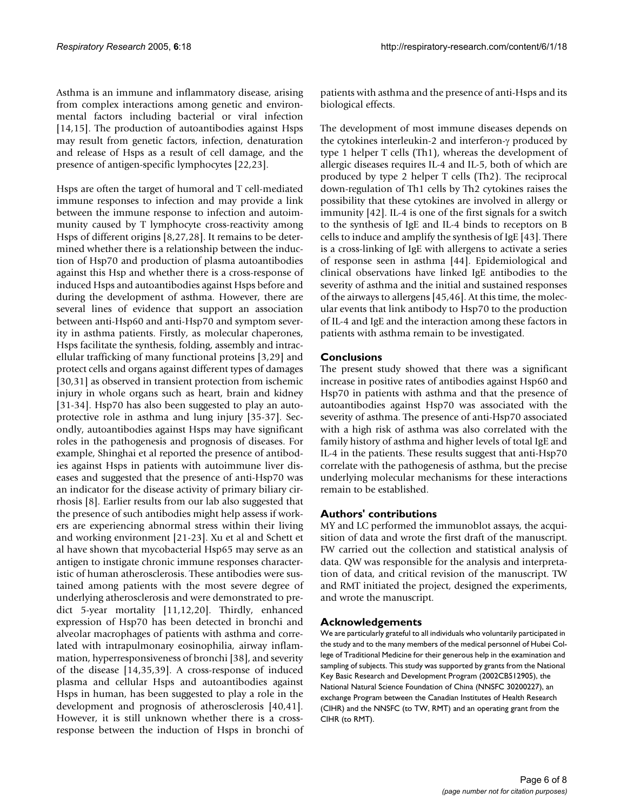Asthma is an immune and inflammatory disease, arising from complex interactions among genetic and environmental factors including bacterial or viral infection [14,15]. The production of autoantibodies against Hsps may result from genetic factors, infection, denaturation and release of Hsps as a result of cell damage, and the presence of antigen-specific lymphocytes [22,23].

Hsps are often the target of humoral and T cell-mediated immune responses to infection and may provide a link between the immune response to infection and autoimmunity caused by T lymphocyte cross-reactivity among Hsps of different origins [8,27,28]. It remains to be determined whether there is a relationship between the induction of Hsp70 and production of plasma autoantibodies against this Hsp and whether there is a cross-response of induced Hsps and autoantibodies against Hsps before and during the development of asthma. However, there are several lines of evidence that support an association between anti-Hsp60 and anti-Hsp70 and symptom severity in asthma patients. Firstly, as molecular chaperones, Hsps facilitate the synthesis, folding, assembly and intracellular trafficking of many functional proteins [3,29] and protect cells and organs against different types of damages [30,31] as observed in transient protection from ischemic injury in whole organs such as heart, brain and kidney [31-34]. Hsp70 has also been suggested to play an autoprotective role in asthma and lung injury [35-37]. Secondly, autoantibodies against Hsps may have significant roles in the pathogenesis and prognosis of diseases. For example, Shinghai et al reported the presence of antibodies against Hsps in patients with autoimmune liver diseases and suggested that the presence of anti-Hsp70 was an indicator for the disease activity of primary biliary cirrhosis [8]. Earlier results from our lab also suggested that the presence of such antibodies might help assess if workers are experiencing abnormal stress within their living and working environment [21-23]. Xu et al and Schett et al have shown that mycobacterial Hsp65 may serve as an antigen to instigate chronic immune responses characteristic of human atherosclerosis. These antibodies were sustained among patients with the most severe degree of underlying atherosclerosis and were demonstrated to predict 5-year mortality [11,12,20]. Thirdly, enhanced expression of Hsp70 has been detected in bronchi and alveolar macrophages of patients with asthma and correlated with intrapulmonary eosinophilia, airway inflammation, hyperresponsiveness of bronchi [38], and severity of the disease [14,35,39]. A cross-response of induced plasma and cellular Hsps and autoantibodies against Hsps in human, has been suggested to play a role in the development and prognosis of atherosclerosis [40,41]. However, it is still unknown whether there is a crossresponse between the induction of Hsps in bronchi of patients with asthma and the presence of anti-Hsps and its biological effects.

The development of most immune diseases depends on the cytokines interleukin-2 and interferon-γ produced by type 1 helper T cells (Th1), whereas the development of allergic diseases requires IL-4 and IL-5, both of which are produced by type 2 helper T cells (Th2). The reciprocal down-regulation of Th1 cells by Th2 cytokines raises the possibility that these cytokines are involved in allergy or immunity [42]. IL-4 is one of the first signals for a switch to the synthesis of IgE and IL-4 binds to receptors on B cells to induce and amplify the synthesis of IgE [43]. There is a cross-linking of IgE with allergens to activate a series of response seen in asthma [44]. Epidemiological and clinical observations have linked IgE antibodies to the severity of asthma and the initial and sustained responses of the airways to allergens [45,46]. At this time, the molecular events that link antibody to Hsp70 to the production of IL-4 and IgE and the interaction among these factors in patients with asthma remain to be investigated.

# **Conclusions**

The present study showed that there was a significant increase in positive rates of antibodies against Hsp60 and Hsp70 in patients with asthma and that the presence of autoantibodies against Hsp70 was associated with the severity of asthma. The presence of anti-Hsp70 associated with a high risk of asthma was also correlated with the family history of asthma and higher levels of total IgE and IL-4 in the patients. These results suggest that anti-Hsp70 correlate with the pathogenesis of asthma, but the precise underlying molecular mechanisms for these interactions remain to be established.

# **Authors' contributions**

MY and LC performed the immunoblot assays, the acquisition of data and wrote the first draft of the manuscript. FW carried out the collection and statistical analysis of data. QW was responsible for the analysis and interpretation of data, and critical revision of the manuscript. TW and RMT initiated the project, designed the experiments, and wrote the manuscript.

# **Acknowledgements**

We are particularly grateful to all individuals who voluntarily participated in the study and to the many members of the medical personnel of Hubei College of Traditional Medicine for their generous help in the examination and sampling of subjects. This study was supported by grants from the National Key Basic Research and Development Program (2002CB512905), the National Natural Science Foundation of China (NNSFC 30200227), an exchange Program between the Canadian Institutes of Health Research (CIHR) and the NNSFC (to TW, RMT) and an operating grant from the CIHR (to RMT).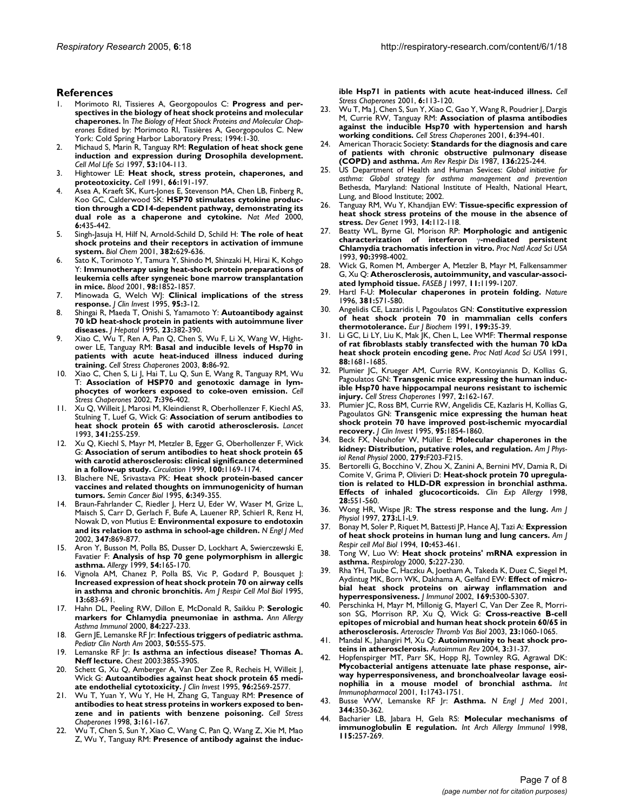#### **References**

- 1. Morimoto RI, Tissieres A, Georgopoulos C: **Progress and perspectives in the biology of heat shock proteins and molecular chaperones.** In *The Biology of Heat Shock Proteins and Molecular Chaperones* Edited by: Morimoto RI, Tissières A, Georgopoulos C. New York: Cold Spring Harbor Laboratory Press; 1994:1-30.
- 2. Michaud S, Marin R, Tanguay RM: **[Regulation of heat shock gene](http://www.ncbi.nlm.nih.gov/entrez/query.fcgi?cmd=Retrieve&db=PubMed&dopt=Abstract&list_uids=9117990) [induction and expression during Drosophila development.](http://www.ncbi.nlm.nih.gov/entrez/query.fcgi?cmd=Retrieve&db=PubMed&dopt=Abstract&list_uids=9117990)** *Cell Mol Life Sci* 1997, **53:**104-113.
- 3. Hightower LE: **[Heat shock, stress protein, chaperones, and](http://www.ncbi.nlm.nih.gov/entrez/query.fcgi?cmd=Retrieve&db=PubMed&dopt=Abstract&list_uids=1855252) [proteotoxicity.](http://www.ncbi.nlm.nih.gov/entrez/query.fcgi?cmd=Retrieve&db=PubMed&dopt=Abstract&list_uids=1855252)** *Cell* 1991, **66:**191-197.
- Asea A, Kraeft SK, Kurt-Jones E, Stevenson MA, Chen LB, Finberg R, Koo GC, Calderwood SK: **[HSP70 stimulates cytokine produc](http://www.ncbi.nlm.nih.gov/entrez/query.fcgi?cmd=Retrieve&db=PubMed&dopt=Abstract&list_uids=10742151)[tion through a CD14-dependent pathway, demonstrating its](http://www.ncbi.nlm.nih.gov/entrez/query.fcgi?cmd=Retrieve&db=PubMed&dopt=Abstract&list_uids=10742151) [dual role as a chaperone and cytokine.](http://www.ncbi.nlm.nih.gov/entrez/query.fcgi?cmd=Retrieve&db=PubMed&dopt=Abstract&list_uids=10742151)** *Nat Med* 2000, **6:**435-442.
- 5. Singh-Jasuja H, Hilf N, Arnold-Schild D, Schild H: **[The role of heat](http://www.ncbi.nlm.nih.gov/entrez/query.fcgi?cmd=Retrieve&db=PubMed&dopt=Abstract&list_uids=11405225) [shock proteins and their receptors in activation of immune](http://www.ncbi.nlm.nih.gov/entrez/query.fcgi?cmd=Retrieve&db=PubMed&dopt=Abstract&list_uids=11405225) [system.](http://www.ncbi.nlm.nih.gov/entrez/query.fcgi?cmd=Retrieve&db=PubMed&dopt=Abstract&list_uids=11405225)** *Biol Chem* 2001, **382:**629-636.
- 6. Sato K, Torimoto Y, Tamura Y, Shindo M, Shinzaki H, Hirai K, Kohgo Y: **[Immunotherapy using heat-shock protein preparations of](http://www.ncbi.nlm.nih.gov/entrez/query.fcgi?cmd=Retrieve&db=PubMed&dopt=Abstract&list_uids=11535521) [leukemia cells after syngeneic bone marrow transplantation](http://www.ncbi.nlm.nih.gov/entrez/query.fcgi?cmd=Retrieve&db=PubMed&dopt=Abstract&list_uids=11535521) [in mice.](http://www.ncbi.nlm.nih.gov/entrez/query.fcgi?cmd=Retrieve&db=PubMed&dopt=Abstract&list_uids=11535521)** *Blood* 2001, **98:**1852-1857.
- 7. Minowada G, Welch WJ: **[Clinical implications of the stress](http://www.ncbi.nlm.nih.gov/entrez/query.fcgi?cmd=Retrieve&db=PubMed&dopt=Abstract&list_uids=7814629) [response.](http://www.ncbi.nlm.nih.gov/entrez/query.fcgi?cmd=Retrieve&db=PubMed&dopt=Abstract&list_uids=7814629)** *J Clin Invest* 1995, **95:**3-12.
- 8. Shingai R, Maeda T, Onishi S, Yamamoto Y: **[Autoantibody against](http://www.ncbi.nlm.nih.gov/entrez/query.fcgi?cmd=Retrieve&db=PubMed&dopt=Abstract&list_uids=8655954) [70 kD heat-shock protein in patients with autoimmune liver](http://www.ncbi.nlm.nih.gov/entrez/query.fcgi?cmd=Retrieve&db=PubMed&dopt=Abstract&list_uids=8655954) [diseases.](http://www.ncbi.nlm.nih.gov/entrez/query.fcgi?cmd=Retrieve&db=PubMed&dopt=Abstract&list_uids=8655954)** *J Hepatol* 1995, **23:**382-390.
- Xiao C, Wu T, Ren A, Pan Q, Chen S, Wu F, Li X, Wang W, Hightower LE, Tanguay RM: **[Basal and inducible levels of Hsp70 in](http://www.ncbi.nlm.nih.gov/entrez/query.fcgi?cmd=Retrieve&db=PubMed&dopt=Abstract&list_uids=12820658) [patients with acute heat-induced illness induced during](http://www.ncbi.nlm.nih.gov/entrez/query.fcgi?cmd=Retrieve&db=PubMed&dopt=Abstract&list_uids=12820658) [training.](http://www.ncbi.nlm.nih.gov/entrez/query.fcgi?cmd=Retrieve&db=PubMed&dopt=Abstract&list_uids=12820658)** *Cell Stress Chaperones* 2003, **8:**86-92.
- 10. Xiao C, Chen S, Li J, Hai T, Lu Q, Sun E, Wang R, Tanguay RM, Wu T: **[Association of HSP70 and genotoxic damage in lym](http://www.ncbi.nlm.nih.gov/entrez/query.fcgi?cmd=Retrieve&db=PubMed&dopt=Abstract&list_uids=12653484)[phocytes of workers exposed to coke-oven emission.](http://www.ncbi.nlm.nih.gov/entrez/query.fcgi?cmd=Retrieve&db=PubMed&dopt=Abstract&list_uids=12653484)** *Cell Stress Chaperones* 2002, **7:**396-402.
- 11. Xu Q, Willeit J, Marosi M, Kleindienst R, Oberhollenzer F, Kiechl AS, Stulning T, Luef G, Wick G: **[Association of serum antibodies to](http://www.ncbi.nlm.nih.gov/entrez/query.fcgi?cmd=Retrieve&db=PubMed&dopt=Abstract&list_uids=8093914) [heat shock protein 65 with carotid atherosclerosis.](http://www.ncbi.nlm.nih.gov/entrez/query.fcgi?cmd=Retrieve&db=PubMed&dopt=Abstract&list_uids=8093914)** *Lancet* 1993, **341:**255-259.
- 12. Xu Q, Kiechl S, Mayr M, Metzler B, Egger G, Oberhollenzer F, Wick G: **[Association of serum antibodies to heat shock protein 65](http://www.ncbi.nlm.nih.gov/entrez/query.fcgi?cmd=Retrieve&db=PubMed&dopt=Abstract&list_uids=10484536) [with carotid atherosclerosis: clinical significance determined](http://www.ncbi.nlm.nih.gov/entrez/query.fcgi?cmd=Retrieve&db=PubMed&dopt=Abstract&list_uids=10484536) [in a follow-up study.](http://www.ncbi.nlm.nih.gov/entrez/query.fcgi?cmd=Retrieve&db=PubMed&dopt=Abstract&list_uids=10484536)** *Circulation* 1999, **100:**1169-1174.
- 13. Blachere NE, Srivastava PK: **[Heat shock protein-based cancer](http://www.ncbi.nlm.nih.gov/entrez/query.fcgi?cmd=Retrieve&db=PubMed&dopt=Abstract&list_uids=8938273) [vaccines and related thoughts on immunogenicity of human](http://www.ncbi.nlm.nih.gov/entrez/query.fcgi?cmd=Retrieve&db=PubMed&dopt=Abstract&list_uids=8938273) [tumors.](http://www.ncbi.nlm.nih.gov/entrez/query.fcgi?cmd=Retrieve&db=PubMed&dopt=Abstract&list_uids=8938273)** *Semin Cancer Biol* 1995, **6:**349-355.
- 14. Braun-Fahrlander C, Riedler J, Herz U, Eder W, Waser M, Grize L, Maisch S, Carr D, Gerlach F, Bufe A, Lauener RP, Schierl R, Renz H, Nowak D, von Mutius E: **[Environmental exposure to endotoxin](http://www.ncbi.nlm.nih.gov/entrez/query.fcgi?cmd=Retrieve&db=PubMed&dopt=Abstract&list_uids=12239255) [and its relation to asthma in school-age children.](http://www.ncbi.nlm.nih.gov/entrez/query.fcgi?cmd=Retrieve&db=PubMed&dopt=Abstract&list_uids=12239255)** *N Engl J Med* 2002, **347:**869-877.
- 15. Aron Y, Busson M, Polla BS, Dusser D, Lockhart A, Swierczewski E, Favatier F: **[Analysis of hsp 70 gene polymorphism in allergic](http://www.ncbi.nlm.nih.gov/entrez/query.fcgi?cmd=Retrieve&db=PubMed&dopt=Abstract&list_uids=10221440) [asthma.](http://www.ncbi.nlm.nih.gov/entrez/query.fcgi?cmd=Retrieve&db=PubMed&dopt=Abstract&list_uids=10221440)** *Allergy* 1999, **54:**165-170.
- 16. Vignola AM, Chanez P, Polla BS, Vic P, Godard P, Bousquet J: **[Increased expression of heat shock protein 70 on airway cells](http://www.ncbi.nlm.nih.gov/entrez/query.fcgi?cmd=Retrieve&db=PubMed&dopt=Abstract&list_uids=7576706) [in asthma and chronic bronchitis.](http://www.ncbi.nlm.nih.gov/entrez/query.fcgi?cmd=Retrieve&db=PubMed&dopt=Abstract&list_uids=7576706)** *Am J Respir Cell Mol Biol* 1995, **13:**683-691.
- 17. Hahn DL, Peeling RW, Dillon E, McDonald R, Saikku P: **[Serologic](http://www.ncbi.nlm.nih.gov/entrez/query.fcgi?cmd=Retrieve&db=PubMed&dopt=Abstract&list_uids=10719781) [markers for Chlamydia pneumoniae in asthma.](http://www.ncbi.nlm.nih.gov/entrez/query.fcgi?cmd=Retrieve&db=PubMed&dopt=Abstract&list_uids=10719781)** *Ann Allergy Asthma Immunol* 2000, **84:**227-233.
- 18. Gern JE, Lemanske RF Jr: **[Infectious triggers of pediatric asthma.](http://www.ncbi.nlm.nih.gov/entrez/query.fcgi?cmd=Retrieve&db=PubMed&dopt=Abstract&list_uids=12877236)** *Pediatr Clin North Am* 2003, **50:**555-575.
- 19. Lemanske RF Jr: **[Is asthma an infectious disease? Thomas A.](http://www.ncbi.nlm.nih.gov/entrez/query.fcgi?cmd=Retrieve&db=PubMed&dopt=Abstract&list_uids=12628996) [Neff lecture.](http://www.ncbi.nlm.nih.gov/entrez/query.fcgi?cmd=Retrieve&db=PubMed&dopt=Abstract&list_uids=12628996)** *Chest* 2003:385S-390S.
- 20. Schett G, Xu Q, Amberger A, Van Der Zee R, Recheis H, Willeit J, Wick G: **[Autoantibodies against heat shock protein 65 medi](http://www.ncbi.nlm.nih.gov/entrez/query.fcgi?cmd=Retrieve&db=PubMed&dopt=Abstract&list_uids=8675620)[ate endothelial cytotoxicity.](http://www.ncbi.nlm.nih.gov/entrez/query.fcgi?cmd=Retrieve&db=PubMed&dopt=Abstract&list_uids=8675620)** *J Clin Invest* 1995, **96:**2569-2577.
- 21. Wu T, Yuan Y, Wu Y, He H, Zhang G, Tanguay RM: **[Presence of](http://www.ncbi.nlm.nih.gov/entrez/query.fcgi?cmd=Retrieve&db=PubMed&dopt=Abstract&list_uids=9764756) [antibodies to heat stress proteins in workers exposed to ben](http://www.ncbi.nlm.nih.gov/entrez/query.fcgi?cmd=Retrieve&db=PubMed&dopt=Abstract&list_uids=9764756)[zene and in patients with benzene poisoning.](http://www.ncbi.nlm.nih.gov/entrez/query.fcgi?cmd=Retrieve&db=PubMed&dopt=Abstract&list_uids=9764756)** *Cell Stress Chaperones* 1998, **3:**161-167.
- 22. Wu T, Chen S, Sun Y, Xiao C, Wang C, Pan Q, Wang Z, Xie M, Mao Z, Wu Y, Tanguay RM: **[Presence of antibody against the induc-](http://www.ncbi.nlm.nih.gov/entrez/query.fcgi?cmd=Retrieve&db=PubMed&dopt=Abstract&list_uids=11599572)**

**[ible Hsp71 in patients with acute heat-induced illness.](http://www.ncbi.nlm.nih.gov/entrez/query.fcgi?cmd=Retrieve&db=PubMed&dopt=Abstract&list_uids=11599572)** *Cell Stress Chaperones* 2001, **6:**113-120.

- 23. Wu T, Ma J, Chen S, Sun Y, Xiao C, Gao Y, Wang R, Poudrier J, Dargis M, Currie RW, Tanguay RM: **[Association of plasma antibodies](http://www.ncbi.nlm.nih.gov/entrez/query.fcgi?cmd=Retrieve&db=PubMed&dopt=Abstract&list_uids=11795477) [against the inducible Hsp70 with hypertension and harsh](http://www.ncbi.nlm.nih.gov/entrez/query.fcgi?cmd=Retrieve&db=PubMed&dopt=Abstract&list_uids=11795477) [working conditions.](http://www.ncbi.nlm.nih.gov/entrez/query.fcgi?cmd=Retrieve&db=PubMed&dopt=Abstract&list_uids=11795477)** *Cell Stress Chaperones* 2001, **6:**394-401.
- 24. American Thoracic Society: **[Standards for the diagnosis and care](http://www.ncbi.nlm.nih.gov/entrez/query.fcgi?cmd=Retrieve&db=PubMed&dopt=Abstract&list_uids=3605835) [of patients with chronic obstructive pulmonary disease](http://www.ncbi.nlm.nih.gov/entrez/query.fcgi?cmd=Retrieve&db=PubMed&dopt=Abstract&list_uids=3605835) [\(COPD\) and asthma.](http://www.ncbi.nlm.nih.gov/entrez/query.fcgi?cmd=Retrieve&db=PubMed&dopt=Abstract&list_uids=3605835)** *Am Rev Respir Dis* 1987, **136:**225-244.
- 25. US Department of Health and Human Sevices: *Global initiative for asthma: Global strategy for asthma management and prevention* Bethesda, Maryland: National Institute of Health, National Heart, Lung, and Blood Institute; 2002.
- 26. Tanguay RM, Wu Y, Khandjian EW: **[Tissue-specific expression of](http://www.ncbi.nlm.nih.gov/entrez/query.fcgi?cmd=Retrieve&db=PubMed&dopt=Abstract&list_uids=8482015) [heat shock stress proteins of the mouse in the absence of](http://www.ncbi.nlm.nih.gov/entrez/query.fcgi?cmd=Retrieve&db=PubMed&dopt=Abstract&list_uids=8482015) [stress.](http://www.ncbi.nlm.nih.gov/entrez/query.fcgi?cmd=Retrieve&db=PubMed&dopt=Abstract&list_uids=8482015)** *Dev Genet* 1993, **14:**112-118.
- 27. Beatty WL, Byrne GI, Morison RP: **Morphologic and antigenic characterization of interferon** γ**[-mediated persistent](http://www.ncbi.nlm.nih.gov/entrez/query.fcgi?cmd=Retrieve&db=PubMed&dopt=Abstract&list_uids=8387206) [Chlamydia trachomatis infection in vitro.](http://www.ncbi.nlm.nih.gov/entrez/query.fcgi?cmd=Retrieve&db=PubMed&dopt=Abstract&list_uids=8387206)** *Proc Natl Acad Sci USA* 1993, **90:**3998-4002.
- 28. Wick G, Romen M, Amberger A, Metzler B, Mayr M, Falkensammer G, Xu Q: **[Atherosclerosis, autoimmunity, and vascular-associ](http://www.ncbi.nlm.nih.gov/entrez/query.fcgi?cmd=Retrieve&db=PubMed&dopt=Abstract&list_uids=9367355)[ated lymphoid tissue.](http://www.ncbi.nlm.nih.gov/entrez/query.fcgi?cmd=Retrieve&db=PubMed&dopt=Abstract&list_uids=9367355)** *FASEB J* 1997, **11:**1199-1207.
- 29. Hartl F-U: **[Molecular chaperones in protein folding.](http://www.ncbi.nlm.nih.gov/entrez/query.fcgi?cmd=Retrieve&db=PubMed&dopt=Abstract&list_uids=8637592)** *Nature* 1996, **381:**571-580.
- 30. Angelidis CE, Lazaridis I, Pagoulatos GN: **[Constitutive expression](http://www.ncbi.nlm.nih.gov/entrez/query.fcgi?cmd=Retrieve&db=PubMed&dopt=Abstract&list_uids=1712300) [of heat shock protein 70 in mammalian cells confers](http://www.ncbi.nlm.nih.gov/entrez/query.fcgi?cmd=Retrieve&db=PubMed&dopt=Abstract&list_uids=1712300) [thermotolerance.](http://www.ncbi.nlm.nih.gov/entrez/query.fcgi?cmd=Retrieve&db=PubMed&dopt=Abstract&list_uids=1712300)** *Eur J Biochem* 1991, **199:**35-39.
- 31. Li GC, Li LY, Liu K, Mak JK, Chen L, Lee WMF: **[Thermal response](http://www.ncbi.nlm.nih.gov/entrez/query.fcgi?cmd=Retrieve&db=PubMed&dopt=Abstract&list_uids=1705702) [of rat fibroblasts stably transfected with the human 70 kDa](http://www.ncbi.nlm.nih.gov/entrez/query.fcgi?cmd=Retrieve&db=PubMed&dopt=Abstract&list_uids=1705702) [heat shock protein encoding gene.](http://www.ncbi.nlm.nih.gov/entrez/query.fcgi?cmd=Retrieve&db=PubMed&dopt=Abstract&list_uids=1705702)** *Proc Natl Acad Sci USA* 1991, **88:**1681-1685.
- 32. Plumier JC, Krueger AM, Currie RW, Kontoyiannis D, Kollias G, Pagoulatos GN: **[Transgenic mice expressing the human induc](http://www.ncbi.nlm.nih.gov/entrez/query.fcgi?cmd=Retrieve&db=PubMed&dopt=Abstract&list_uids=9314603)[ible Hsp70 have hippocampal neurons resistant to ischemic](http://www.ncbi.nlm.nih.gov/entrez/query.fcgi?cmd=Retrieve&db=PubMed&dopt=Abstract&list_uids=9314603) [injury.](http://www.ncbi.nlm.nih.gov/entrez/query.fcgi?cmd=Retrieve&db=PubMed&dopt=Abstract&list_uids=9314603)** *Cell Stress Chaperones* 1997, **2:**162-167.
- Plumier JC, Ross BM, Currie RW, Angelidis CE, Kazlaris H, Kollias G, Pagoulatos GN: **[Transgenic mice expressing the human heat](http://www.ncbi.nlm.nih.gov/entrez/query.fcgi?cmd=Retrieve&db=PubMed&dopt=Abstract&list_uids=7706492) [shock protein 70 have improved post-ischemic myocardial](http://www.ncbi.nlm.nih.gov/entrez/query.fcgi?cmd=Retrieve&db=PubMed&dopt=Abstract&list_uids=7706492) [recovery.](http://www.ncbi.nlm.nih.gov/entrez/query.fcgi?cmd=Retrieve&db=PubMed&dopt=Abstract&list_uids=7706492)** *J Clin Invest* 1995, **95:**1854-1860.
- 34. Beck FX, Neuhofer W, Müller E: **[Molecular chaperones in the](http://www.ncbi.nlm.nih.gov/entrez/query.fcgi?cmd=Retrieve&db=PubMed&dopt=Abstract&list_uids=10919839) [kidney: Distribution, putative roles, and regulation.](http://www.ncbi.nlm.nih.gov/entrez/query.fcgi?cmd=Retrieve&db=PubMed&dopt=Abstract&list_uids=10919839)** *Am J Physiol Renal Physiol* 2000, **279:**F203-F215.
- 35. Bertorelli G, Bocchino V, Zhou X, Zanini A, Bernini MV, Damia R, Di Comite V, Grima P, Olivieri D: **[Heat-shock protein 70 upregula](http://www.ncbi.nlm.nih.gov/entrez/query.fcgi?cmd=Retrieve&db=PubMed&dopt=Abstract&list_uids=9645591)[tion is related to HLD-DR expression in bronchial asthma.](http://www.ncbi.nlm.nih.gov/entrez/query.fcgi?cmd=Retrieve&db=PubMed&dopt=Abstract&list_uids=9645591) [Effects of inhaled glucocorticoids.](http://www.ncbi.nlm.nih.gov/entrez/query.fcgi?cmd=Retrieve&db=PubMed&dopt=Abstract&list_uids=9645591)** *Clin Exp Allergy* 1998, **28:**551-560.
- 36. Wong HR, Wispe JR: **[The stress response and the lung.](http://www.ncbi.nlm.nih.gov/entrez/query.fcgi?cmd=Retrieve&db=PubMed&dopt=Abstract&list_uids=9252533)** *Am J Physiol* 1997, **273:**L1-L9.
- 37. Bonay M, Soler P, Riquet M, Battesti JP, Hance AJ, Tazi A: **[Expression](http://www.ncbi.nlm.nih.gov/entrez/query.fcgi?cmd=Retrieve&db=PubMed&dopt=Abstract&list_uids=8136161) [of heat shock proteins in human lung and lung cancers.](http://www.ncbi.nlm.nih.gov/entrez/query.fcgi?cmd=Retrieve&db=PubMed&dopt=Abstract&list_uids=8136161)** *Am J Respir cell Mol Biol* 1994, **10:**453-461.
- 38. Tong W, Luo W: **[Heat shock proteins' mRNA expression in](http://www.ncbi.nlm.nih.gov/entrez/query.fcgi?cmd=Retrieve&db=PubMed&dopt=Abstract&list_uids=11022984) [asthma.](http://www.ncbi.nlm.nih.gov/entrez/query.fcgi?cmd=Retrieve&db=PubMed&dopt=Abstract&list_uids=11022984)** *Respirology* 2000, **5:**227-230.
- 39. Rha YH, Taube C, Haczku A, Joetham A, Takeda K, Duez C, Siegel M, Aydintug MK, Born WK, Dakhama A, Gelfand EW: **[Effect of micro](http://www.ncbi.nlm.nih.gov/entrez/query.fcgi?cmd=Retrieve&db=PubMed&dopt=Abstract&list_uids=12391250)[bial heat shock proteins on airway inflammation and](http://www.ncbi.nlm.nih.gov/entrez/query.fcgi?cmd=Retrieve&db=PubMed&dopt=Abstract&list_uids=12391250) [hyperresponsiveness.](http://www.ncbi.nlm.nih.gov/entrez/query.fcgi?cmd=Retrieve&db=PubMed&dopt=Abstract&list_uids=12391250)** *J Immunol* 2002, **169:**5300-5307.
- 40. Perschinka H, Mayr M, Millonig G, Mayerl C, Van Der Zee R, Morrison SG, Morrison RP, Xu Q, Wick G: **Cross-reactive B-cell epitopes of microbial and human heat shock protein 60/65 in atherosclerosis.** *Arteroscler Thromb Vas Biol* 2003, **23:**1060-1065.
- 41. Mandal K, Jahangiri M, Xu Q: **[Autoimmunity to heat shock pro](http://www.ncbi.nlm.nih.gov/entrez/query.fcgi?cmd=Retrieve&db=PubMed&dopt=Abstract&list_uids=15003185)[teins in atherosclerosis.](http://www.ncbi.nlm.nih.gov/entrez/query.fcgi?cmd=Retrieve&db=PubMed&dopt=Abstract&list_uids=15003185)** *Autoimmun Rev* 2004, **3:**31-37.
- 42. Hopfenspirger MT, Parr SK, Hopp RJ, Townley RG, Agrawal DK: **Mycobacterial antigens attenuate late phase response, air[way hyperresponsiveness, and bronchoalveolar lavage eosi](http://www.ncbi.nlm.nih.gov/entrez/query.fcgi?cmd=Retrieve&db=PubMed&dopt=Abstract&list_uids=11562066)[nophilia in a mouse model of bronchial asthma.](http://www.ncbi.nlm.nih.gov/entrez/query.fcgi?cmd=Retrieve&db=PubMed&dopt=Abstract&list_uids=11562066)** *Int Immunopharmacol* 2001, **1:**1743-1751.
- 43. Busse WW, Lemanske RF Jr: **[Asthma.](http://www.ncbi.nlm.nih.gov/entrez/query.fcgi?cmd=Retrieve&db=PubMed&dopt=Abstract&list_uids=11172168)** *N Engl J Med* 2001, **344:**350-362.
- 44. Bacharier LB, Jabara H, Gela RS: **[Molecular mechanisms of](http://www.ncbi.nlm.nih.gov/entrez/query.fcgi?cmd=Retrieve&db=PubMed&dopt=Abstract&list_uids=9566348) [immunoglobulin E regulation.](http://www.ncbi.nlm.nih.gov/entrez/query.fcgi?cmd=Retrieve&db=PubMed&dopt=Abstract&list_uids=9566348)** *Int Arch Allergy Immunol* 1998, **115:**257-269.